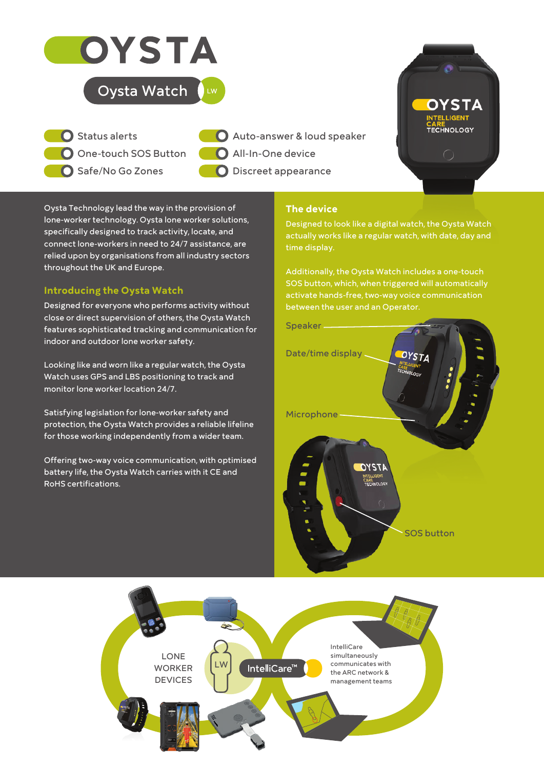

# Oysta Watch  $\bigcup_{w}$

**One-touch SOS Button C**35 **M**11 **Y**100 **K**0 Safe/No Go Zones **R**186 **G**192 **B**11  $\bigcap$  Status alerts

Auto-answer & loud speaker **O** All-In-One device O Discreet appearance

Oysta Technology lead the way in the provision of lone-worker technology. Oysta lone worker solutions, specifically designed to track activity, locate, and connect lone-workers in need to 24/7 assistance, are relied upon by organisations from all industry sectors throughout the UK and Europe.

**#**BAC00B

# **Introducing the Oysta Watch**

Designed for everyone who performs activity without close or direct supervision of others, the Oysta Watch features sophisticated tracking and communication for indoor and outdoor lone worker safety.

Looking like and worn like a regular watch, the Oysta Watch uses GPS and LBS positioning to track and monitor lone worker location 24/7.

Satisfying legislation for lone-worker safety and protection, the Oysta Watch provides a reliable lifeline for those working independently from a wider team.

Offering two-way voice communication, with optimised battery life, the Oysta Watch carries with it CE and RoHS certifications.

# **The device**

Designed to look like a digital watch, the Oysta Watch actually works like a regular watch, with date, day and time display.

**OYSTA** 

CARE<br>TECHNOLOGY

Additionally, the Oysta Watch includes a one-touch SOS button, which, when triggered will automatically activate hands-free, two-way voice communication between the user and an Operator.



 $\mathbf{c}_i$  $\mathbb{R}$ IntelliCare LONE simultaneously LW communicates with IntelliCare<sup>™</sup> WORKER the ARC network & DEVICES management teams